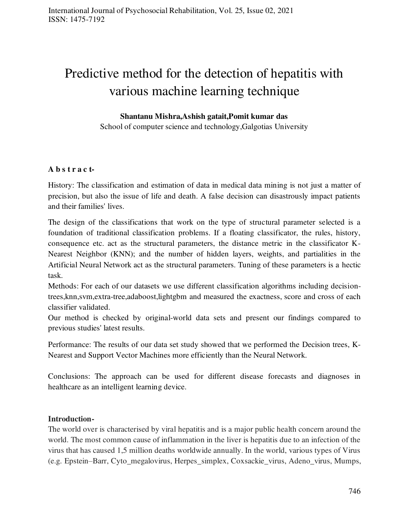# Predictive method for the detection of hepatitis with various machine learning technique

## **Shantanu Mishra,Ashish gatait,Pomit kumar das**

School of computer science and technology,Galgotias University

## A **b** s **t r** a **c t**-

History: The classification and estimation of data in medical data mining is not just a matter of precision, but also the issue of life and death. A false decision can disastrously impact patients and their families' lives.

The design of the classifications that work on the type of structural parameter selected is a foundation of traditional classification problems. If a floating classificator, the rules, history, consequence etc. act as the structural parameters, the distance metric in the classificator K-Nearest Neighbor (KNN); and the number of hidden layers, weights, and partialities in the Artificial Neural Network act as the structural parameters. Tuning of these parameters is a hectic task.

Methods: For each of our datasets we use different classification algorithms including decisiontrees,knn,svm,extra-tree,adaboost,lightgbm and measured the exactness, score and cross of each classifier validated.

Our method is checked by original-world data sets and present our findings compared to previous studies' latest results.

Performance: The results of our data set study showed that we performed the Decision trees, K-Nearest and Support Vector Machines more efficiently than the Neural Network.

Conclusions: The approach can be used for different disease forecasts and diagnoses in healthcare as an intelligent learning device.

## **Introduction-**

The world over is characterised by viral hepatitis and is a major public health concern around the world. The most common cause of inflammation in the liver is hepatitis due to an infection of the virus that has caused 1,5 million deaths worldwide annually. In the world, various types of Virus (e.g. Epstein–Barr, Cyto\_megalovirus, Herpes\_simplex, Coxsackie\_virus, Adeno\_virus, Mumps,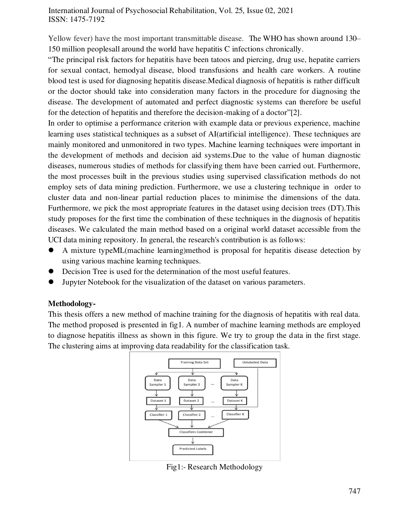Yellow fever) have the most important transmittable disease. The WHO has shown around 130– 150 million peoplesall around the world have hepatitis C infections chronically.

"The principal risk factors for hepatitis have been tatoos and piercing, drug use, hepatite carriers for sexual contact, hemodyal disease, blood transfusions and health care workers. A routine blood test is used for diagnosing hepatitis disease.Medical diagnosis of hepatitis is rather difficult or the doctor should take into consideration many factors in the procedure for diagnosing the disease. The development of automated and perfect diagnostic systems can therefore be useful for the detection of hepatitis and therefore the decision-making of a doctor"[2].

In order to optimise a performance criterion with example data or previous experience, machine learning uses statistical techniques as a subset of AI(artificial intelligence). These techniques are mainly monitored and unmonitored in two types. Machine learning techniques were important in the development of methods and decision aid systems.Due to the value of human diagnostic diseases, numerous studies of methods for classifying them have been carried out. Furthermore, the most processes built in the previous studies using supervised classification methods do not employ sets of data mining prediction. Furthermore, we use a clustering technique in order to cluster data and non-linear partial reduction places to minimise the dimensions of the data. Furthermore, we pick the most appropriate features in the dataset using decision trees (DT).This study proposes for the first time the combination of these techniques in the diagnosis of hepatitis diseases. We calculated the main method based on a original world dataset accessible from the UCI data mining repository. In general, the research's contribution is as follows:

- A mixture typeML(machine learning)method is proposal for hepatitis disease detection by using various machine learning techniques.
- Decision Tree is used for the determination of the most useful features.
- Jupyter Notebook for the visualization of the dataset on various parameters.

## **Methodology-**

This thesis offers a new method of machine training for the diagnosis of hepatitis with real data. The method proposed is presented in fig1. A number of machine learning methods are employed to diagnose hepatitis illness as shown in this figure. We try to group the data in the first stage. The clustering aims at improving data readability for the classification task.



Fig1:- Research Methodology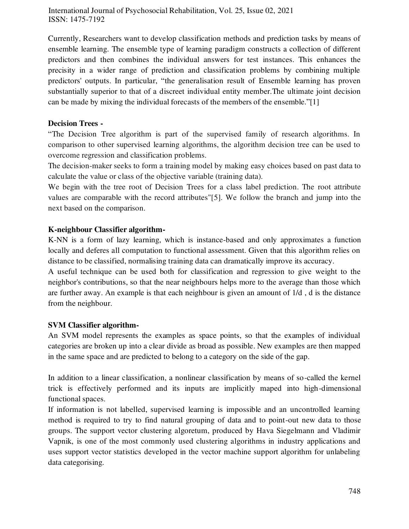Currently, Researchers want to develop classification methods and prediction tasks by means of ensemble learning. The ensemble type of learning paradigm constructs a collection of different predictors and then combines the individual answers for test instances. This enhances the precisity in a wider range of prediction and classification problems by combining multiple predictors' outputs. In particular, "the generalisation result of Ensemble learning has proven substantially superior to that of a discreet individual entity member.The ultimate joint decision can be made by mixing the individual forecasts of the members of the ensemble."[1]

## **Decision Trees -**

"The Decision Tree algorithm is part of the supervised family of research algorithms. In comparison to other supervised learning algorithms, the algorithm decision tree can be used to overcome regression and classification problems.

The decision-maker seeks to form a training model by making easy choices based on past data to calculate the value or class of the objective variable (training data).

We begin with the tree root of Decision Trees for a class label prediction. The root attribute values are comparable with the record attributes"[5]. We follow the branch and jump into the next based on the comparison.

## **K-neighbour Classifier algorithm-**

K-NN is a form of lazy learning, which is instance-based and only approximates a function locally and deferes all computation to functional assessment. Given that this algorithm relies on distance to be classified, normalising training data can dramatically improve its accuracy.

A useful technique can be used both for classification and regression to give weight to the neighbor's contributions, so that the near neighbours helps more to the average than those which are further away. An example is that each neighbour is given an amount of 1/d , d is the distance from the neighbour.

### **SVM Classifier algorithm-**

An SVM model represents the examples as space points, so that the examples of individual categories are broken up into a clear divide as broad as possible. New examples are then mapped in the same space and are predicted to belong to a category on the side of the gap.

In addition to a linear classification, a nonlinear classification by means of so-called the kernel trick is effectively performed and its inputs are implicitly maped into high-dimensional functional spaces.

If information is not labelled, supervised learning is impossible and an uncontrolled learning method is required to try to find natural grouping of data and to point-out new data to those groups. The support vector clustering algoretum, produced by Hava Siegelmann and Vladimir Vapnik, is one of the most commonly used clustering algorithms in industry applications and uses support vector statistics developed in the vector machine support algorithm for unlabeling data categorising.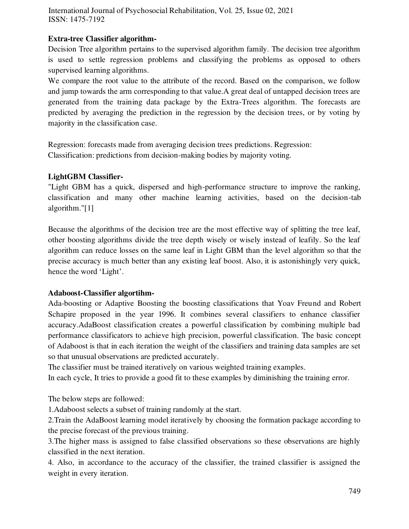## **Extra-tree Classifier algorithm-**

Decision Tree algorithm pertains to the supervised algorithm family. The decision tree algorithm is used to settle regression problems and classifying the problems as opposed to others supervised learning algorithms.

We compare the root value to the attribute of the record. Based on the comparison, we follow and jump towards the arm corresponding to that value.A great deal of untapped decision trees are generated from the training data package by the Extra-Trees algorithm. The forecasts are predicted by averaging the prediction in the regression by the decision trees, or by voting by majority in the classification case.

Regression: forecasts made from averaging decision trees predictions. Regression: Classification: predictions from decision-making bodies by majority voting.

## **LightGBM Classifier-**

"Light GBM has a quick, dispersed and high-performance structure to improve the ranking, classification and many other machine learning activities, based on the decision-tab algorithm."[1]

Because the algorithms of the decision tree are the most effective way of splitting the tree leaf, other boosting algorithms divide the tree depth wisely or wisely instead of leafily. So the leaf algorithm can reduce losses on the same leaf in Light GBM than the level algorithm so that the precise accuracy is much better than any existing leaf boost. Also, it is astonishingly very quick, hence the word 'Light'.

## **Adaboost-Classifier algortihm-**

Ada-boosting or Adaptive Boosting the boosting classifications that Yoav Freund and Robert Schapire proposed in the year 1996. It combines several classifiers to enhance classifier accuracy.AdaBoost classification creates a powerful classification by combining multiple bad performance classificators to achieve high precision, powerful classification. The basic concept of Adaboost is that in each iteration the weight of the classifiers and training data samples are set so that unusual observations are predicted accurately.

The classifier must be trained iteratively on various weighted training examples.

In each cycle, It tries to provide a good fit to these examples by diminishing the training error.

The below steps are followed:

1.Adaboost selects a subset of training randomly at the start.

2.Train the AdaBoost learning model iteratively by choosing the formation package according to the precise forecast of the previous training.

3.The higher mass is assigned to false classified observations so these observations are highly classified in the next iteration.

4. Also, in accordance to the accuracy of the classifier, the trained classifier is assigned the weight in every iteration.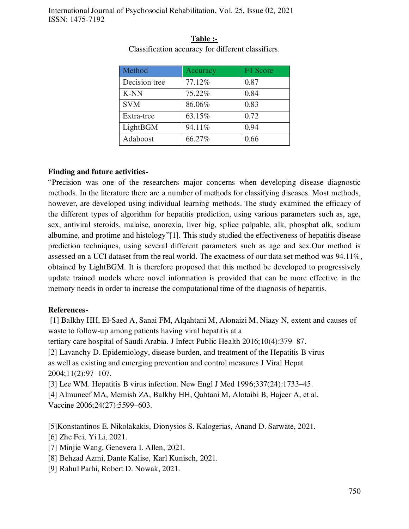| Method        | Accuracy | F1 Score |
|---------------|----------|----------|
| Decision tree | 77.12%   | 0.87     |
| <b>K-NN</b>   | 75.22%   | 0.84     |
| <b>SVM</b>    | 86.06%   | 0.83     |
| Extra-tree    | 63.15%   | 0.72     |
| LightBGM      | 94.11%   | 0.94     |
| Adaboost      | 66.27%   | 0.66     |

**Table :-**  Classification accuracy for different classifiers.

#### **Finding and future activities-**

"Precision was one of the researchers major concerns when developing disease diagnostic methods. In the literature there are a number of methods for classifying diseases. Most methods, however, are developed using individual learning methods. The study examined the efficacy of the different types of algorithm for hepatitis prediction, using various parameters such as, age, sex, antiviral steroids, malaise, anorexia, liver big, splice palpable, alk, phosphat alk, sodium albumine, and protime and histology"[1]. This study studied the effectiveness of hepatitis disease prediction techniques, using several different parameters such as age and sex.Our method is assessed on a UCI dataset from the real world. The exactness of our data set method was 94.11%, obtained by LightBGM. It is therefore proposed that this method be developed to progressively update trained models where novel information is provided that can be more effective in the memory needs in order to increase the computational time of the diagnosis of hepatitis.

#### **References-**

 [1] Balkhy HH, El-Saed A, Sanai FM, Alqahtani M, Alonaizi M, Niazy N, extent and causes of waste to follow-up among patients having viral hepatitis at a tertiary care hospital of Saudi Arabia. J Infect Public Health 2016;10(4):379–87.

[2] Lavanchy D. Epidemiology, disease burden, and treatment of the Hepatitis B virus as well as existing and emerging prevention and control measures J Viral Hepat 2004;11(2):97–107.

[3] Lee WM. Hepatitis B virus infection. New Engl J Med 1996;337(24):1733–45. [4] Almuneef MA, Memish ZA, Balkhy HH, Qahtani M, Alotaibi B, Hajeer A, et al. Vaccine 2006;24(27):5599–603.

[5]Konstantinos E. Nikolakakis, Dionysios S. Kalogerias, Anand D. Sarwate, 2021.

[6] Zhe Fei, Yi Li, 2021.

- [7] Minjie Wang, Genevera I. Allen, 2021.
- [8] Behzad Azmi, Dante Kalise, Karl Kunisch, 2021.
- [9] Rahul Parhi, Robert D. Nowak, 2021.